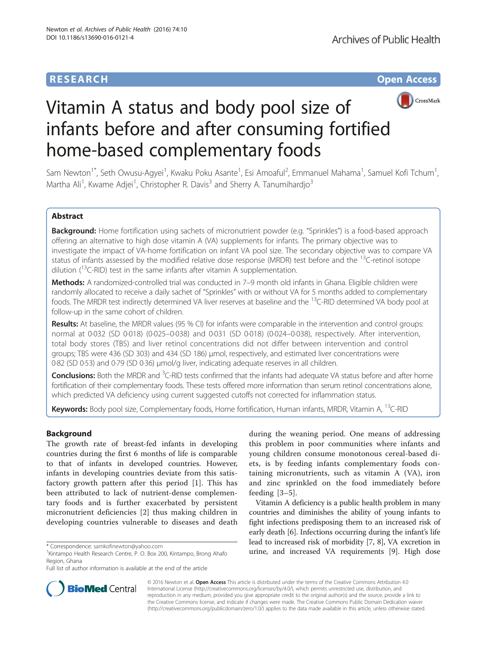## **RESEARCH CHE Open Access**



# Vitamin A status and body pool size of infants before and after consuming fortified home-based complementary foods

Sam Newton<sup>1\*</sup>, Seth Owusu-Agyei<sup>1</sup>, Kwaku Poku Asante<sup>1</sup>, Esi Amoaful<sup>2</sup>, Emmanuel Mahama<sup>1</sup>, Samuel Kofi Tchum<sup>1</sup> , Martha Ali<sup>1</sup>, Kwame Adjei<sup>1</sup>, Christopher R. Davis<sup>3</sup> and Sherry A. Tanumihardjo<sup>3</sup>

## Abstract

Background: Home fortification using sachets of micronutrient powder (e.g. "Sprinkles") is a food-based approach offering an alternative to high dose vitamin A (VA) supplements for infants. The primary objective was to investigate the impact of VA-home fortification on infant VA pool size. The secondary objective was to compare VA status of infants assessed by the modified relative dose response (MRDR) test before and the <sup>13</sup>C-retinol isotope dilution ( $^{13}$ C-RID) test in the same infants after vitamin A supplementation.

Methods: A randomized-controlled trial was conducted in 7–9 month old infants in Ghana. Eligible children were randomly allocated to receive a daily sachet of "Sprinkles" with or without VA for 5 months added to complementary foods. The MRDR test indirectly determined VA liver reserves at baseline and the <sup>13</sup>C-RID determined VA body pool at follow-up in the same cohort of children.

Results: At baseline, the MRDR values (95 % CI) for infants were comparable in the intervention and control groups: normal at 0·032 (SD 0·018) (0·025–0·038) and 0·031 (SD 0·018) (0·024–0·038), respectively. After intervention, total body stores (TBS) and liver retinol concentrations did not differ between intervention and control groups; TBS were 436 (SD 303) and 434 (SD 186) μmol, respectively, and estimated liver concentrations were 0·82 (SD 0·53) and 0·79 (SD 0·36) μmol/g liver, indicating adequate reserves in all children.

Conclusions: Both the MRDR and <sup>3</sup>C-RID tests confirmed that the infants had adequate VA status before and after home fortification of their complementary foods. These tests offered more information than serum retinol concentrations alone, which predicted VA deficiency using current suggested cutoffs not corrected for inflammation status.

Keywords: Body pool size, Complementary foods, Home fortification, Human infants, MRDR, Vitamin A, <sup>13</sup>C-RID

### Background

The growth rate of breast-fed infants in developing countries during the first 6 months of life is comparable to that of infants in developed countries. However, infants in developing countries deviate from this satisfactory growth pattern after this period [\[1](#page-8-0)]. This has been attributed to lack of nutrient-dense complementary foods and is further exacerbated by persistent micronutrient deficiencies [[2\]](#page-8-0) thus making children in developing countries vulnerable to diseases and death during the weaning period. One means of addressing this problem in poor communities where infants and young children consume monotonous cereal-based diets, is by feeding infants complementary foods containing micronutrients, such as vitamin A (VA), iron and zinc sprinkled on the food immediately before feeding [\[3](#page-8-0)–[5](#page-8-0)].

Vitamin A deficiency is a public health problem in many countries and diminishes the ability of young infants to fight infections predisposing them to an increased risk of early death [\[6](#page-8-0)]. Infections occurring during the infant's life lead to increased risk of morbidity [\[7](#page-8-0), [8](#page-8-0)], VA excretion in \* Correspondence: [samkofinewton@yahoo.com](mailto:samkofinewton@yahoo.com) **1998**<br><sup>1</sup>Kintampo Health Research Centre, P. O. Box 200. Kintampo. Brong Ahafo **1998 urine, and increased VA requirements [[9\]](#page-8-0). High dose** 



© 2016 Newton et al. **Open Access** This article is distributed under the terms of the Creative Commons Attribution 4.0 International License [\(http://creativecommons.org/licenses/by/4.0/](http://creativecommons.org/licenses/by/4.0/)), which permits unrestricted use, distribution, and reproduction in any medium, provided you give appropriate credit to the original author(s) and the source, provide a link to the Creative Commons license, and indicate if changes were made. The Creative Commons Public Domain Dedication waiver [\(http://creativecommons.org/publicdomain/zero/1.0/](http://creativecommons.org/publicdomain/zero/1.0/)) applies to the data made available in this article, unless otherwise stated.

<sup>&</sup>lt;sup>1</sup> Kintampo Health Research Centre, P. O. Box 200, Kintampo, Brong Ahafo Region, Ghana

Full list of author information is available at the end of the article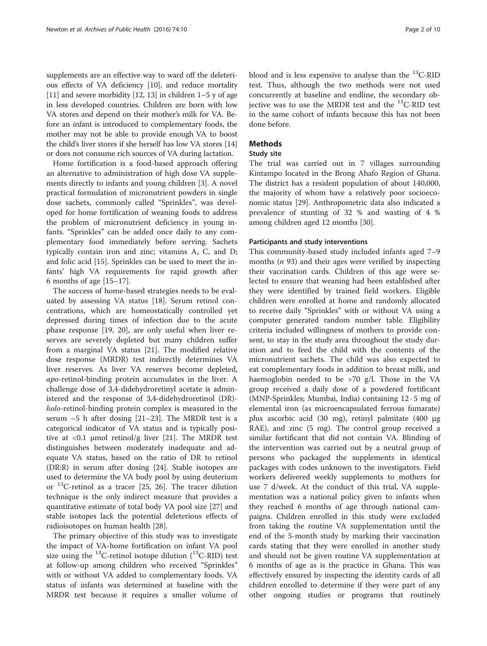supplements are an effective way to ward off the deleterious effects of VA deficiency [\[10](#page-8-0)], and reduce mortality [[11](#page-8-0)] and severe morbidity [\[12, 13](#page-8-0)] in children 1–5 y of age in less developed countries. Children are born with low VA stores and depend on their mother's milk for VA. Before an infant is introduced to complementary foods, the mother may not be able to provide enough VA to boost the child's liver stores if she herself has low VA stores [[14](#page-8-0)] or does not consume rich sources of VA during lactation.

Home fortification is a food-based approach offering an alternative to administration of high dose VA supplements directly to infants and young children [\[3](#page-8-0)]. A novel practical formulation of micronutrient powders in single dose sachets, commonly called "Sprinkles", was developed for home fortification of weaning foods to address the problem of micronutrient deficiency in young infants. "Sprinkles" can be added once daily to any complementary food immediately before serving. Sachets typically contain iron and zinc; vitamins A, C, and D; and folic acid [\[15\]](#page-8-0). Sprinkles can be used to meet the infants' high VA requirements for rapid growth after 6 months of age [[15](#page-8-0)–[17\]](#page-8-0).

The success of home-based strategies needs to be evaluated by assessing VA status [\[18\]](#page-8-0). Serum retinol concentrations, which are homeostatically controlled yet depressed during times of infection due to the acute phase response [[19](#page-8-0), [20\]](#page-9-0), are only useful when liver reserves are severely depleted but many children suffer from a marginal VA status [[21\]](#page-9-0). The modified relative dose response (MRDR) test indirectly determines VA liver reserves. As liver VA reserves become depleted, apo-retinol-binding protein accumulates in the liver. A challenge dose of 3,4-didehydroretinyl acetate is administered and the response of 3,4-didehydroretinol (DR) holo-retinol-binding protein complex is measured in the serum  $~5$  h after dosing [\[21](#page-9-0)-[23\]](#page-9-0). The MRDR test is a categorical indicator of VA status and is typically positive at  $\langle 0.1 \rangle$  µmol retinol/g liver [\[21\]](#page-9-0). The MRDR test distinguishes between moderately inadequate and adequate VA status, based on the ratio of DR to retinol (DR:R) in serum after dosing [[24](#page-9-0)]. Stable isotopes are used to determine the VA body pool by using deuterium or  $^{13}$ C-retinol as a tracer [[25, 26](#page-9-0)]. The tracer dilution technique is the only indirect measure that provides a quantitative estimate of total body VA pool size [\[27](#page-9-0)] and stable isotopes lack the potential deleterious effects of radioisotopes on human health [\[28\]](#page-9-0).

The primary objective of this study was to investigate the impact of VA-home fortification on infant VA pool size using the  $^{13}$ C-retinol isotope dilution ( $^{13}$ C-RID) test at follow-up among children who received "Sprinkles" with or without VA added to complementary foods. VA status of infants was determined at baseline with the MRDR test because it requires a smaller volume of

blood and is less expensive to analyse than the  $^{13}$ C-RID test. Thus, although the two methods were not used concurrently at baseline and endline, the secondary objective was to use the MRDR test and the  $^{13}$ C-RID test in the same cohort of infants because this has not been done before.

#### Methods

#### Study site

The trial was carried out in 7 villages surrounding Kintampo located in the Brong Ahafo Region of Ghana. The district has a resident population of about 140,000, the majority of whom have a relatively poor socioeconomic status [\[29](#page-9-0)]. Anthropometric data also indicated a prevalence of stunting of 32 % and wasting of 4 % among children aged 12 months [\[30](#page-9-0)].

#### Participants and study interventions

This community-based study included infants aged 7–9 months  $(n 93)$  and their ages were verified by inspecting their vaccination cards. Children of this age were selected to ensure that weaning had been established after they were identified by trained field workers. Eligible children were enrolled at home and randomly allocated to receive daily "Sprinkles" with or without VA using a computer generated random number table. Eligibility criteria included willingness of mothers to provide consent, to stay in the study area throughout the study duration and to feed the child with the contents of the micronutrient sachets. The child was also expected to eat complementary foods in addition to breast milk, and haemoglobin needed to be >70 g/l. Those in the VA group received a daily dose of a powdered fortificant (MNP-Sprinkles; Mumbai, India) containing 12 · 5 mg of elemental iron (as microencapsulated ferrous fumarate) plus ascorbic acid (30 mg), retinyl palmitate (400 μg RAE), and zinc (5 mg). The control group received a similar fortificant that did not contain VA. Blinding of the intervention was carried out by a neutral group of persons who packaged the supplements in identical packages with codes unknown to the investigators. Field workers delivered weekly supplements to mothers for use 7 d/week. At the conduct of this trial, VA supplementation was a national policy given to infants when they reached 6 months of age through national campaigns. Children enrolled in this study were excluded from taking the routine VA supplementation until the end of the 5-month study by marking their vaccination cards stating that they were enrolled in another study and should not be given routine VA supplementation at 6 months of age as is the practice in Ghana. This was effectively ensured by inspecting the identity cards of all children enrolled to determine if they were part of any other ongoing studies or programs that routinely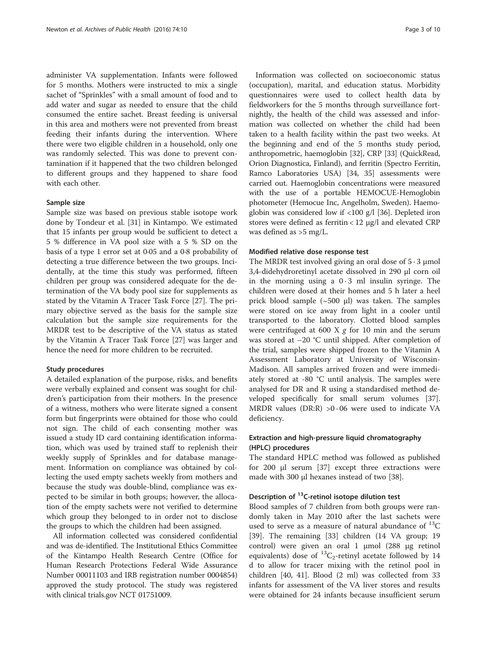administer VA supplementation. Infants were followed for 5 months. Mothers were instructed to mix a single sachet of "Sprinkles" with a small amount of food and to add water and sugar as needed to ensure that the child consumed the entire sachet. Breast feeding is universal in this area and mothers were not prevented from breast feeding their infants during the intervention. Where there were two eligible children in a household, only one was randomly selected. This was done to prevent contamination if it happened that the two children belonged to different groups and they happened to share food with each other.

#### Sample size

Sample size was based on previous stable isotope work done by Tondeur et al. [\[31](#page-9-0)] in Kintampo. We estimated that 15 infants per group would be sufficient to detect a 5 % difference in VA pool size with a 5 % SD on the basis of a type 1 error set at 0·05 and a 0·8 probability of detecting a true difference between the two groups. Incidentally, at the time this study was performed, fifteen children per group was considered adequate for the determination of the VA body pool size for supplements as stated by the Vitamin A Tracer Task Force [\[27\]](#page-9-0). The primary objective served as the basis for the sample size calculation but the sample size requirements for the MRDR test to be descriptive of the VA status as stated by the Vitamin A Tracer Task Force [[27\]](#page-9-0) was larger and hence the need for more children to be recruited.

#### Study procedures

A detailed explanation of the purpose, risks, and benefits were verbally explained and consent was sought for children's participation from their mothers. In the presence of a witness, mothers who were literate signed a consent form but fingerprints were obtained for those who could not sign. The child of each consenting mother was issued a study ID card containing identification information, which was used by trained staff to replenish their weekly supply of Sprinkles and for database management. Information on compliance was obtained by collecting the used empty sachets weekly from mothers and because the study was double-blind, compliance was expected to be similar in both groups; however, the allocation of the empty sachets were not verified to determine which group they belonged to in order not to disclose the groups to which the children had been assigned.

All information collected was considered confidential and was de-identified. The Institutional Ethics Committee of the Kintampo Health Research Centre (Office for Human Research Protections Federal Wide Assurance Number 00011103 and IRB registration number 0004854) approved the study protocol. The study was registered with clinical trials.gov NCT 01751009.

Information was collected on socioeconomic status (occupation), marital, and education status. Morbidity questionnaires were used to collect health data by fieldworkers for the 5 months through surveillance fortnightly, the health of the child was assessed and information was collected on whether the child had been taken to a health facility within the past two weeks. At the beginning and end of the 5 months study period, anthropometric, haemoglobin [\[32\]](#page-9-0), CRP [\[33\]](#page-9-0) (QuickRead, Orion Diagnostica, Finland), and ferritin (Spectro Ferritin, Ramco Laboratories USA) [\[34, 35](#page-9-0)] assessments were carried out. Haemoglobin concentrations were measured with the use of a portable HEMOCUE-Hemoglobin photometer (Hemocue Inc, Angelholm, Sweden). Haemoglobin was considered low if <100 g/l [[36](#page-9-0)]. Depleted iron stores were defined as ferritin < 12 μg/l and elevated CRP was defined as >5 mg/L.

#### Modified relative dose response test

The MRDR test involved giving an oral dose of  $5 \cdot 3 \mu$ mol 3,4-didehydroretinyl acetate dissolved in 290 μl corn oil in the morning using a  $0.3$  ml insulin syringe. The children were dosed at their homes and 5 h later a heel prick blood sample  $({\sim}500 \text{ µ})$  was taken. The samples were stored on ice away from light in a cooler until transported to the laboratory. Clotted blood samples were centrifuged at 600 X  $g$  for 10 min and the serum was stored at –20 °C until shipped. After completion of the trial, samples were shipped frozen to the Vitamin A Assessment Laboratory at University of Wisconsin-Madison. All samples arrived frozen and were immediately stored at -80 °C until analysis. The samples were analysed for DR and R using a standardised method developed specifically for small serum volumes [\[37](#page-9-0)]. MRDR values (DR:R)  $>0.06$  were used to indicate VA deficiency.

#### Extraction and high-pressure liquid chromatography (HPLC) procedures

The standard HPLC method was followed as published for 200 μl serum [[37\]](#page-9-0) except three extractions were made with 300 μl hexanes instead of two [[38](#page-9-0)].

#### Description of <sup>13</sup>C-retinol isotope dilution test

Blood samples of 7 children from both groups were randomly taken in May 2010 after the last sachets were used to serve as a measure of natural abundance of  $^{13}C$ [[39\]](#page-9-0). The remaining [\[33\]](#page-9-0) children (14 VA group; 19 control) were given an oral 1 μmol (288 μg retinol equivalents) dose of  ${}^{13}C_2$ -retinyl acetate followed by 14 d to allow for tracer mixing with the retinol pool in children [\[40](#page-9-0), [41\]](#page-9-0). Blood (2 ml) was collected from 33 infants for assessment of the VA liver stores and results were obtained for 24 infants because insufficient serum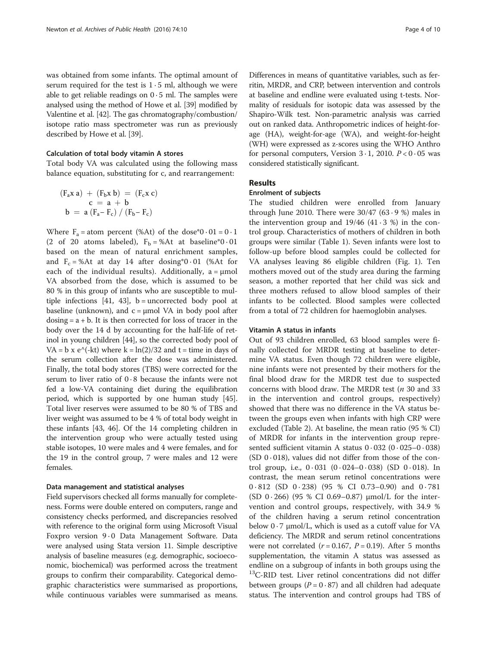was obtained from some infants. The optimal amount of serum required for the test is  $1 \cdot 5$  ml, although we were able to get reliable readings on  $0.5$  ml. The samples were analysed using the method of Howe et al. [[39](#page-9-0)] modified by Valentine et al. [\[42](#page-9-0)]. The gas chromatography/combustion/ isotope ratio mass spectrometer was run as previously described by Howe et al. [\[39\]](#page-9-0).

#### Calculation of total body vitamin A stores

Total body VA was calculated using the following mass balance equation, substituting for c, and rearrangement:

$$
(F_a x a) + (F_b x b) = (F_c x c)
$$
  
\n
$$
c = a + b
$$
  
\n
$$
b = a (F_a - F_c) / (F_b - F_c)
$$

Where  $F_a$  = atom percent (%At) of the dose\*0  $\cdot$  01 = 0  $\cdot$  1 (2 of 20 atoms labeled),  $F_b = %At$  at baseline\*0 · 01 based on the mean of natural enrichment samples, and  $F_c = %At$  at day 14 after dosing\*0.01 (%At for each of the individual results). Additionally,  $a = \mu mol$ VA absorbed from the dose, which is assumed to be 80 % in this group of infants who are susceptible to mul-tiple infections [[41](#page-9-0), [43\]](#page-9-0),  $b =$  uncorrected body pool at baseline (unknown), and  $c = \mu$  and VA in body pool after  $dosing = a + b$ . It is then corrected for loss of tracer in the body over the 14 d by accounting for the half-life of retinol in young children [[44](#page-9-0)], so the corrected body pool of VA = b x e^(-kt) where  $k = \ln(2)/32$  and t = time in days of the serum collection after the dose was administered. Finally, the total body stores (TBS) were corrected for the serum to liver ratio of 0 · 8 because the infants were not fed a low-VA containing diet during the equilibration period, which is supported by one human study [[45](#page-9-0)]. Total liver reserves were assumed to be 80 % of TBS and liver weight was assumed to be 4 % of total body weight in these infants [\[43, 46\]](#page-9-0). Of the 14 completing children in the intervention group who were actually tested using stable isotopes, 10 were males and 4 were females, and for the 19 in the control group, 7 were males and 12 were females.

#### Data management and statistical analyses

Field supervisors checked all forms manually for completeness. Forms were double entered on computers, range and consistency checks performed, and discrepancies resolved with reference to the original form using Microsoft Visual Foxpro version 9.0 Data Management Software. Data were analysed using Stata version 11. Simple descriptive analysis of baseline measures (e.g. demographic, socioeconomic, biochemical) was performed across the treatment groups to confirm their comparability. Categorical demographic characteristics were summarised as proportions, while continuous variables were summarised as means.

Differences in means of quantitative variables, such as ferritin, MRDR, and CRP, between intervention and controls at baseline and endline were evaluated using t-tests. Normality of residuals for isotopic data was assessed by the Shapiro-Wilk test. Non-parametric analysis was carried out on ranked data. Anthropometric indices of height-forage (HA), weight-for-age (WA), and weight-for-height (WH) were expressed as z-scores using the WHO Anthro for personal computers, Version  $3 \cdot 1$ , 2010.  $P < 0.05$  was considered statistically significant.

#### Results

#### Enrolment of subjects

The studied children were enrolled from January through June 2010. There were  $30/47$  (63  $\cdot$  9 %) males in the intervention group and  $19/46$  (41  $\cdot$  3 %) in the control group. Characteristics of mothers of children in both groups were similar (Table [1](#page-4-0)). Seven infants were lost to follow-up before blood samples could be collected for VA analyses leaving 86 eligible children (Fig. [1\)](#page-5-0). Ten mothers moved out of the study area during the farming season, a mother reported that her child was sick and three mothers refused to allow blood samples of their infants to be collected. Blood samples were collected from a total of 72 children for haemoglobin analyses.

#### Vitamin A status in infants

Out of 93 children enrolled, 63 blood samples were finally collected for MRDR testing at baseline to determine VA status. Even though 72 children were eligible, nine infants were not presented by their mothers for the final blood draw for the MRDR test due to suspected concerns with blood draw. The MRDR test  $(n 30$  and 33 in the intervention and control groups, respectively) showed that there was no difference in the VA status between the groups even when infants with high CRP were excluded (Table [2](#page-5-0)). At baseline, the mean ratio (95 % CI) of MRDR for infants in the intervention group represented sufficient vitamin A status  $0.032$   $(0.025-0.038)$ (SD  $0.018$ ), values did not differ from those of the control group, i.e., 0 · 031 (0 · 024–0 · 038) (SD 0 · 018). In contrast, the mean serum retinol concentrations were 0 · 812 (SD 0 · 238) (95 % CI 0.73–0.90) and 0 · 781 (SD  $0.266$ ) (95 % CI 0.69–0.87)  $\mu$ mol/L for the intervention and control groups, respectively, with 34.9 % of the children having a serum retinol concentration below  $0.7 \mu$ mol/L, which is used as a cutoff value for VA deficiency. The MRDR and serum retinol concentrations were not correlated  $(r = 0.167, P = 0.19)$ . After 5 months supplementation, the vitamin A status was assessed as endline on a subgroup of infants in both groups using the <sup>13</sup>C-RID test. Liver retinol concentrations did not differ between groups ( $P = 0.87$ ) and all children had adequate status. The intervention and control groups had TBS of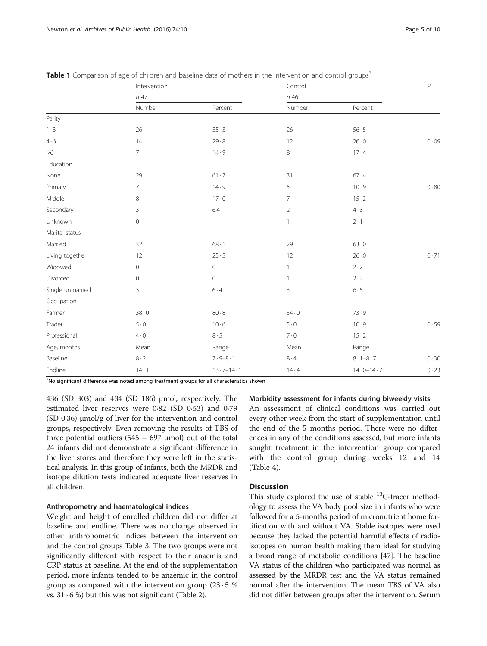|                  | Intervention        |                           | Control        |                         | $\overline{P}$ |
|------------------|---------------------|---------------------------|----------------|-------------------------|----------------|
|                  | n 47                |                           | n 46           |                         |                |
|                  | Number              | Percent                   | Number         | Percent                 |                |
| Parity           |                     |                           |                |                         |                |
| $1 - 3$          | 26                  | 55.3                      | 26             | $56 \cdot 5$            |                |
| $4 - 6$          | 14                  | 29.8                      | 12             | $26 \cdot 0$            | 0.09           |
| >6               | $7^{\circ}$         | 14.9                      | 8              | 17.4                    |                |
| Education        |                     |                           |                |                         |                |
| None             | 29                  | 61.7                      | 31             | 67.4                    |                |
| Primary          | $\overline{7}$      | 14.9                      | 5              | 10.9                    | 0.80           |
| Middle           | 8                   | $17 - 0$                  | $\overline{7}$ | $15 - 2$                |                |
| Secondary        | $\overline{3}$      | 6.4                       | $\overline{2}$ | 4.3                     |                |
| Unknown          | $\mathsf{O}\xspace$ |                           | $\mathbf{1}$   | $2 \cdot 1$             |                |
| Marital status   |                     |                           |                |                         |                |
| Married          | 32                  | $68 \cdot 1$              | 29             | 63.0                    |                |
| Living together  | 12                  | 25.5                      | 12             | $26 \cdot 0$            | 0.71           |
| Widowed          | $\mathsf{O}\xspace$ | $\mathbf 0$               | $\mathbf{1}$   | $2 \cdot 2$             |                |
| Divorced         | $\mathsf{O}\xspace$ | $\mathbf 0$               | $\mathbf{1}$   | $2 \cdot 2$             |                |
| Single unmarried | 3                   | $6 \cdot 4$               | $\overline{3}$ | 6.5                     |                |
| Occupation       |                     |                           |                |                         |                |
| Farmer           | 38.0                | 80.8                      | 34.0           | 73.9                    |                |
| Trader           | 5.0                 | 10.6                      | $5 \cdot 0$    | 10.9                    | 0.59           |
| Professional     | $4 \cdot 0$         | $8 \cdot 5$               | 7.0            | $15 - 2$                |                |
| Age, months      | Mean                | Range                     | Mean           | Range                   |                |
| Baseline         | 8.2                 | $7.9 - 8.1$               | $8 \cdot 4$    | $8 \cdot 1 - 8 \cdot 7$ | $0 \cdot 30$   |
| Endline          | $14 - 1$            | $13 \cdot 7 - 14 \cdot 1$ | 14.4           | $14.0 - 14.7$           | 0.23           |

<span id="page-4-0"></span>

|  | Table 1 Comparison of age of children and baseline data of mothers in the intervention and control groups <sup>a</sup> |  |  |  |  |  |  |  |  |
|--|------------------------------------------------------------------------------------------------------------------------|--|--|--|--|--|--|--|--|
|  |                                                                                                                        |  |  |  |  |  |  |  |  |

<sup>a</sup>No significant difference was noted among treatment groups for all characteristics shown

436 (SD 303) and 434 (SD 186) μmol, respectively. The estimated liver reserves were 0·82 (SD 0·53) and 0·79 (SD 0·36) μmol/g of liver for the intervention and control groups, respectively. Even removing the results of TBS of three potential outliers  $(545 - 697 \mu \text{mol})$  out of the total 24 infants did not demonstrate a significant difference in the liver stores and therefore they were left in the statistical analysis. In this group of infants, both the MRDR and isotope dilution tests indicated adequate liver reserves in all children.

#### Anthropometry and haematological indices

Weight and height of enrolled children did not differ at baseline and endline. There was no change observed in other anthropometric indices between the intervention and the control groups Table [3](#page-6-0). The two groups were not significantly different with respect to their anaemia and CRP status at baseline. At the end of the supplementation period, more infants tended to be anaemic in the control group as compared with the intervention group  $(23 \cdot 5 \%)$ vs.  $31 \cdot 6$  %) but this was not significant (Table [2](#page-5-0)).

#### Morbidity assessment for infants during biweekly visits

An assessment of clinical conditions was carried out every other week from the start of supplementation until the end of the 5 months period. There were no differences in any of the conditions assessed, but more infants sought treatment in the intervention group compared with the control group during weeks 12 and 14 (Table [4\)](#page-6-0).

#### **Discussion**

This study explored the use of stable <sup>13</sup>C-tracer methodology to assess the VA body pool size in infants who were followed for a 5-months period of micronutrient home fortification with and without VA. Stable isotopes were used because they lacked the potential harmful effects of radioisotopes on human health making them ideal for studying a broad range of metabolic conditions [[47](#page-9-0)]. The baseline VA status of the children who participated was normal as assessed by the MRDR test and the VA status remained normal after the intervention. The mean TBS of VA also did not differ between groups after the intervention. Serum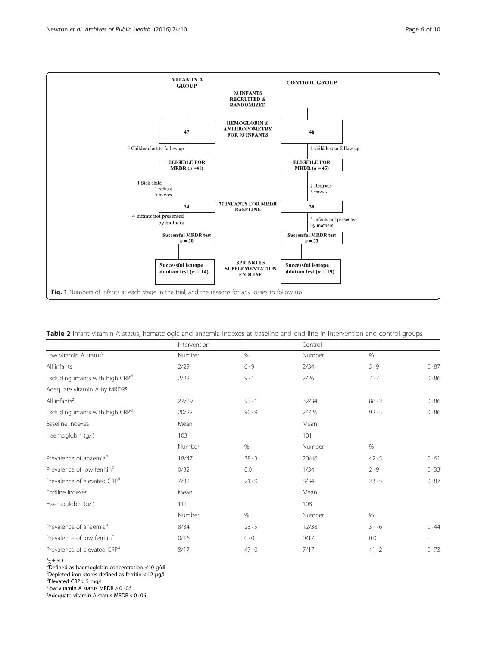<span id="page-5-0"></span>

| Table 2 Infant vitamin A status, hematologic and anaemia indexes at baseline and end line in intervention and control groups |  |  |  |  |  |
|------------------------------------------------------------------------------------------------------------------------------|--|--|--|--|--|
|------------------------------------------------------------------------------------------------------------------------------|--|--|--|--|--|

|                                         | Intervention |          | Control |              |      |
|-----------------------------------------|--------------|----------|---------|--------------|------|
| Low vitamin A status <sup>y</sup>       | Number       | $\%$     | Number  | $\%$         |      |
| All infants                             | 2/29         | 6.9      | 2/34    | 5.9          | 0.87 |
| Excluding infants with high CRPd        | 2/22         | $9 - 1$  | 2/26    | 7.7          | 0.86 |
| Adequate vitamin A by MRDR <sup>x</sup> |              |          |         |              |      |
| All infants <sup>x</sup>                | 27/29        | $93 - 1$ | 32/34   | 88.2         | 0.86 |
| Excluding infants with high CRPd        | 20/22        | 90.9     | 24/26   | $92 \cdot 3$ | 0.86 |
| Baseline indexes                        | Mean         |          | Mean    |              |      |
| Haemoglobin (g/l)                       | 103          |          | 101     |              |      |
|                                         | Number       | %        | Number  | $\%$         |      |
| Prevalence of anaemia <sup>b</sup>      | 18/47        | 38.3     | 20/46   | 42.5         | 0.61 |
| Prevalence of low ferritin <sup>c</sup> | 0/32         | 0.0      | 1/34    | 2.9          | 0.33 |
| Prevalence of elevated CRP <sup>d</sup> | 7/32         | 21.9     | 8/34    | 23.5         | 0.87 |
| Endline indexes                         | Mean         |          | Mean    |              |      |
| Haemoglobin (g/l)                       | 111          |          | 108     |              |      |
|                                         | Number       | $\%$     | Number  | $\%$         |      |
| Prevalence of anaemia <sup>b</sup>      | 8/34         | 23.5     | 12/38   | 31.6         | 0.44 |
| Prevalence of low ferritin <sup>c</sup> | 0/16         | 0.0      | 0/17    | 0.0          |      |
| Prevalence of elevated CRP <sup>d</sup> | 8/17         | 47.0     | 7/17    | $41 \cdot 2$ | 0.73 |

<sup>a</sup>χ±SD<br><sup>b</sup>Defined as haemoglobin concentration <10 g/dl

Eppleted iron stores defined as ferritin <  $12 \mu g/l$ <sup>d</sup>Elovated CPP > 5 mg/l

Elevated CRP > 5 mg/L

y<br>
<sup>y</sup> low vitamin A status MRDR ≥ 0 · 06<br>
<sup>γ</sup> Adequate vitamin A status MPDR  $^{\chi}$ Adequate vitamin A status MRDR < 0 · 06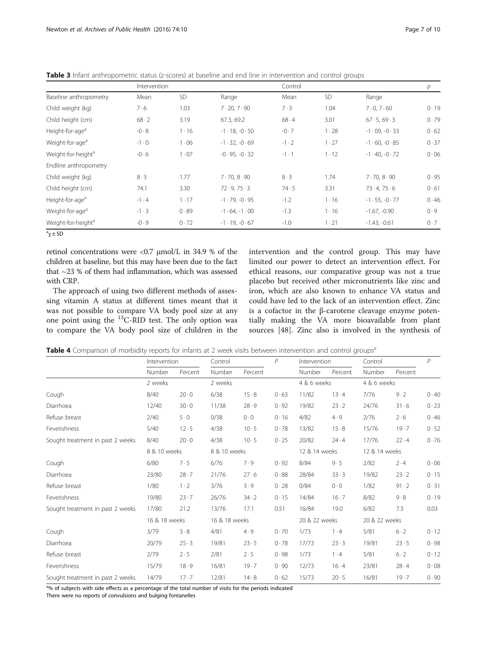|                                | Intervention |              |                          | Control      |              |                          | р    |  |
|--------------------------------|--------------|--------------|--------------------------|--------------|--------------|--------------------------|------|--|
| Baseline anthropometry         | Mean         | <b>SD</b>    | Range                    | Mean         | <b>SD</b>    | Range                    |      |  |
| Child weight (kg)              | 7·6          | 1.03         | $7 \cdot 20, 7 \cdot 90$ | 7.3          | 1.04         | $7 \cdot 0, 7 \cdot 60$  | 0.19 |  |
| Child height (cm)              | $68 \cdot 2$ | 3.19         | 67.3, 69.2               | 68.4         | 3.01         | 67.5, 69.3               | 0.79 |  |
| Height-for-age <sup>a</sup>    | $-0.8$       | $1 \cdot 16$ | $-1.18, -0.50$           | $-0.7$       | 1.28         | $-1.09, -0.33$           | 0.62 |  |
| Weight-for-age <sup>a</sup>    | $-1.0$       | 1.06         | $-1.32, -0.69$           | $-1 \cdot 2$ | $1 \cdot 27$ | $-1.60, -0.85$           | 0.37 |  |
| Weight-for-height <sup>a</sup> | $-0.6$       | 1.07         | $-0.95, -0.32$           | $-1 \cdot 1$ | $1 \cdot 12$ | $-1.40, -0.72$           | 0.06 |  |
| Endline anthropometry          |              |              |                          |              |              |                          |      |  |
| Child weight (kg)              | 8.3          | 1.77         | $7 \cdot 70.8 \cdot 90$  | 8.3          | 1.74         | $7 \cdot 70.8 \cdot 90$  | 0.95 |  |
| Child height (cm)              | 74.1         | 3.30         | 72.9, 75.3               | 74.5         | 3.31         | $73 \cdot 4, 75 \cdot 6$ | 0.61 |  |
| Height-for-age <sup>a</sup>    | $-1.4$       | $1 \cdot 17$ | $-1.79, -0.95$           | $-1.2$       | $1 \cdot 16$ | $-1.55, -0.77$           | 0.46 |  |
| Weight-for-age <sup>a</sup>    | $-1.3$       | 0.89         | $-1.64, -1.00$           | $-1.3$       | 1.16         | $-1.67, -0.90$           | 0.9  |  |
| Weight-for-height <sup>a</sup> | $-0.9$       | 0.72         | $-1.19, -0.67$           | $-1.0$       | $1 \cdot 21$ | $-1.43, -0.61$           | 0.7  |  |

<span id="page-6-0"></span>Table 3 Infant anthropometric status (z-scores) at baseline and end line in intervention and control groups

 $a^a$ <sub>χ</sub>  $\pm$  SD

retinol concentrations were  $\langle 0.7 \text{ \mu m} 0 \rangle$  and  $\langle 1.34.9 \text{ \% of the} \rangle$ children at baseline, but this may have been due to the fact that ~23 % of them had inflammation, which was assessed with CRP.

The approach of using two different methods of assessing vitamin A status at different times meant that it was not possible to compare VA body pool size at any one point using the  $^{13}$ C-RID test. The only option was to compare the VA body pool size of children in the intervention and the control group. This may have limited our power to detect an intervention effect. For ethical reasons, our comparative group was not a true placebo but received other micronutrients like zinc and iron, which are also known to enhance VA status and could have led to the lack of an intervention effect. Zinc is a cofactor in the β-carotene cleavage enzyme potentially making the VA more bioavailable from plant sources [\[48](#page-9-0)]. Zinc also is involved in the synthesis of

|  |  |  |  | Table 4 Comparison of morbidity reports for infants at 2 week visits between intervention and control groups <sup>a</sup> |  |  |  |  |
|--|--|--|--|---------------------------------------------------------------------------------------------------------------------------|--|--|--|--|
|--|--|--|--|---------------------------------------------------------------------------------------------------------------------------|--|--|--|--|

|                                  | Intervention  |              | Control       |         | $\overline{P}$ | Intervention  |              | Control       |              | $\mathcal{P}$ |
|----------------------------------|---------------|--------------|---------------|---------|----------------|---------------|--------------|---------------|--------------|---------------|
|                                  | Number        | Percent      | Number        | Percent |                | Number        | Percent      | Number        | Percent      |               |
|                                  | 2 weeks       |              | 2 weeks       |         |                | 4 & 6 weeks   |              | 4 & 6 weeks   |              |               |
| Cough                            | 8/40          | $20 \cdot 0$ | 6/38          | 15.8    | 0.63           | 11/82         | 13.4         | 7/76          | 9.2          | 0.40          |
| Diarrhoea                        | 12/40         | 30.0         | 11/38         | 28.9    | 0.92           | 19/82         | $23 - 2$     | 24/76         | 31.6         | 0.23          |
| Refuse breast                    | 2/40          | $5 \cdot 0$  | 0/38          | 0.0     | 0.16           | 4/82          | 4.9          | 2/76          | 2.6          | 0.46          |
| Feverishness                     | 5/40          | 12.5         | 4/38          | 10.5    | 0.78           | 13/82         | 15.8         | 15/76         | 19.7         | 0.52          |
| Sought treatment in past 2 weeks | 8/40          | 20.0         | 4/38          | 10.5    | 0.25           | 20/82         | 24.4         | 17/76         | 22.4         | 0.76          |
|                                  | 8 & 10 weeks  |              | 8 & 10 weeks  |         |                | 12 & 14 weeks |              | 12 & 14 weeks |              |               |
| Cough                            | 6/80          | 7.5          | 6/76          | 7.9     | 0.92           | 8/84          | 9.5          | 2/82          | 2.4          | 0.06          |
| Diarrhoea                        | 23/80         | $28 \cdot 7$ | 21/76         | 27.6    | 0.88           | 28/84         | $33 - 3$     | 19/82         | $23 \cdot 2$ | 0.15          |
| Refuse breast                    | 1/80          | $1 \cdot 2$  | 3/76          | 3.9     | 0.28           | 0/84          | 0.0          | 1/82          | 91.2         | 0.31          |
| Feverishness                     | 19/80         | 23.7         | 26/76         | 34.2    | 0.15           | 14/84         | $16 \cdot 7$ | 8/82          | 9.8          | 0.19          |
| Sought treatment in past 2 weeks | 17/80         | 21.2         | 13/76         | 17.1    | 0.51           | 16/84         | 19.0         | 6/82          | 7.3          | 0.03          |
|                                  | 16 & 18 weeks |              | 16 & 18 weeks |         |                | 20 & 22 weeks |              | 20 & 22 weeks |              |               |
| Cough                            | 3/79          | 3.8          | 4/81          | 4.9     | 0.70           | 1/73          | 1.4          | 5/81          | $6 \cdot 2$  | 0.12          |
| Diarrhoea                        | 20/79         | $25 - 3$     | 19/81         | 23.5    | 0.78           | 17/73         | 23.3         | 19/81         | 23.5         | 0.98          |
| Refuse breast                    | 2/79          | 2.5          | 2/81          | 2.5     | 0.98           | 1/73          | 1.4          | 5/81          | $6 \cdot 2$  | 0.12          |
| Feverishness                     | 15/79         | 18.9         | 16/81         | 19.7    | 0.90           | 12/73         | 16.4         | 23/81         | 28.4         | 0.08          |
| Sought treatment in past 2 weeks | 14/79         | 17.7         | 12/81         | 14.8    | 0.62           | 15/73         | 20.5         | 16/81         | 19.7         | 0.90          |

<sup>a</sup>% of subjects with side effects as a percentage of the total number of visits for the periods indicated

There were no reports of convulsions and bulging fontanelles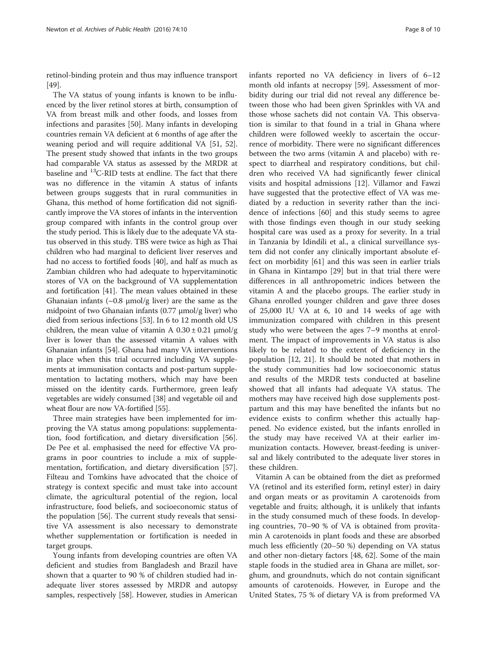retinol-binding protein and thus may influence transport [[49\]](#page-9-0).

The VA status of young infants is known to be influenced by the liver retinol stores at birth, consumption of VA from breast milk and other foods, and losses from infections and parasites [[50](#page-9-0)]. Many infants in developing countries remain VA deficient at 6 months of age after the weaning period and will require additional VA [[51](#page-9-0), [52](#page-9-0)]. The present study showed that infants in the two groups had comparable VA status as assessed by the MRDR at baseline and 13C-RID tests at endline. The fact that there was no difference in the vitamin A status of infants between groups suggests that in rural communities in Ghana, this method of home fortification did not significantly improve the VA stores of infants in the intervention group compared with infants in the control group over the study period. This is likely due to the adequate VA status observed in this study. TBS were twice as high as Thai children who had marginal to deficient liver reserves and had no access to fortified foods [[40](#page-9-0)], and half as much as Zambian children who had adequate to hypervitaminotic stores of VA on the background of VA supplementation and fortification [\[41](#page-9-0)]. The mean values obtained in these Ghanaian infants  $(\sim 0.8 \mu \text{mol/g}$  liver) are the same as the midpoint of two Ghanaian infants (0.77 μmol/g liver) who died from serious infections [\[53\]](#page-9-0). In 6 to 12 month old US children, the mean value of vitamin A  $0.30 \pm 0.21$  µmol/g liver is lower than the assessed vitamin A values with Ghanaian infants [[54](#page-9-0)]. Ghana had many VA interventions in place when this trial occurred including VA supplements at immunisation contacts and post-partum supplementation to lactating mothers, which may have been missed on the identity cards. Furthermore, green leafy vegetables are widely consumed [\[38\]](#page-9-0) and vegetable oil and wheat flour are now VA-fortified [\[55\]](#page-9-0).

Three main strategies have been implemented for improving the VA status among populations: supplementation, food fortification, and dietary diversification [\[56](#page-9-0)]. De Pee et al. emphasised the need for effective VA programs in poor countries to include a mix of supplementation, fortification, and dietary diversification [\[57](#page-9-0)]. Filteau and Tomkins have advocated that the choice of strategy is context specific and must take into account climate, the agricultural potential of the region, local infrastructure, food beliefs, and socioeconomic status of the population [[56](#page-9-0)]. The current study reveals that sensitive VA assessment is also necessary to demonstrate whether supplementation or fortification is needed in target groups.

Young infants from developing countries are often VA deficient and studies from Bangladesh and Brazil have shown that a quarter to 90 % of children studied had inadequate liver stores assessed by MRDR and autopsy samples, respectively [\[58](#page-9-0)]. However, studies in American

infants reported no VA deficiency in livers of 6–12 month old infants at necropsy [[59\]](#page-9-0). Assessment of morbidity during our trial did not reveal any difference between those who had been given Sprinkles with VA and those whose sachets did not contain VA. This observation is similar to that found in a trial in Ghana where children were followed weekly to ascertain the occurrence of morbidity. There were no significant differences between the two arms (vitamin A and placebo) with respect to diarrheal and respiratory conditions, but children who received VA had significantly fewer clinical visits and hospital admissions [\[12\]](#page-8-0). Villamor and Fawzi have suggested that the protective effect of VA was mediated by a reduction in severity rather than the incidence of infections [[60\]](#page-9-0) and this study seems to agree with those findings even though in our study seeking hospital care was used as a proxy for severity. In a trial in Tanzania by Idindili et al., a clinical surveillance system did not confer any clinically important absolute effect on morbidity [[61\]](#page-9-0) and this was seen in earlier trials in Ghana in Kintampo [\[29](#page-9-0)] but in that trial there were differences in all anthropometric indices between the vitamin A and the placebo groups. The earlier study in Ghana enrolled younger children and gave three doses of 25,000 IU VA at 6, 10 and 14 weeks of age with immunization compared with children in this present study who were between the ages 7–9 months at enrolment. The impact of improvements in VA status is also likely to be related to the extent of deficiency in the population [[12,](#page-8-0) [21\]](#page-9-0). It should be noted that mothers in the study communities had low socioeconomic status and results of the MRDR tests conducted at baseline showed that all infants had adequate VA status. The mothers may have received high dose supplements postpartum and this may have benefited the infants but no evidence exists to confirm whether this actually happened. No evidence existed, but the infants enrolled in the study may have received VA at their earlier immunization contacts. However, breast-feeding is universal and likely contributed to the adequate liver stores in these children.

Vitamin A can be obtained from the diet as preformed VA (retinol and its esterified form, retinyl ester) in dairy and organ meats or as provitamin A carotenoids from vegetable and fruits; although, it is unlikely that infants in the study consumed much of these foods. In developing countries, 70–90 % of VA is obtained from provitamin A carotenoids in plant foods and these are absorbed much less efficiently (20–50 %) depending on VA status and other non-dietary factors [[48, 62\]](#page-9-0). Some of the main staple foods in the studied area in Ghana are millet, sorghum, and groundnuts, which do not contain significant amounts of carotenoids. However, in Europe and the United States, 75 % of dietary VA is from preformed VA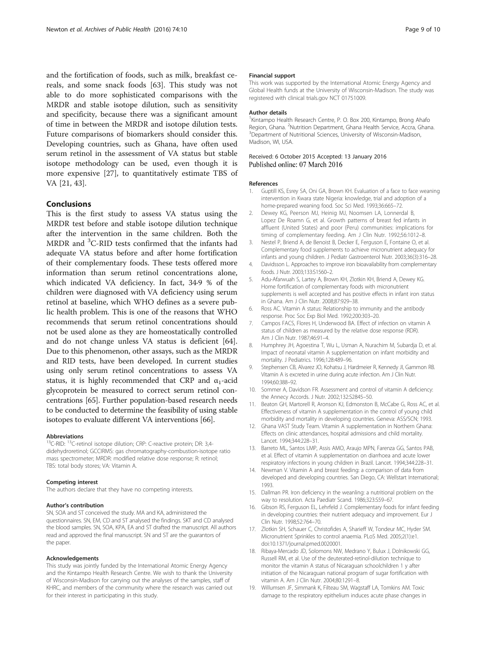<span id="page-8-0"></span>and the fortification of foods, such as milk, breakfast cereals, and some snack foods [\[63\]](#page-9-0). This study was not able to do more sophisticated comparisons with the MRDR and stable isotope dilution, such as sensitivity and specificity, because there was a significant amount of time in between the MRDR and isotope dilution tests. Future comparisons of biomarkers should consider this. Developing countries, such as Ghana, have often used serum retinol in the assessment of VA status but stable isotope methodology can be used, even though it is more expensive [[27\]](#page-9-0), to quantitatively estimate TBS of VA [[21, 43\]](#page-9-0).

#### Conclusions

This is the first study to assess VA status using the MRDR test before and stable isotope dilution technique after the intervention in the same children. Both the MRDR and <sup>3</sup>C-RID tests confirmed that the infants had adequate VA status before and after home fortification of their complementary foods. These tests offered more information than serum retinol concentrations alone, which indicated VA deficiency. In fact, 34·9 % of the children were diagnosed with VA deficiency using serum retinol at baseline, which WHO defines as a severe public health problem. This is one of the reasons that WHO recommends that serum retinol concentrations should not be used alone as they are homeostatically controlled and do not change unless VA status is deficient [\[64](#page-9-0)]. Due to this phenomenon, other assays, such as the MRDR and RID tests, have been developed. In current studies using only serum retinol concentrations to assess VA status, it is highly recommended that CRP and  $\alpha_1$ -acid glycoprotein be measured to correct serum retinol concentrations [\[65](#page-9-0)]. Further population-based research needs to be conducted to determine the feasibility of using stable isotopes to evaluate different VA interventions [\[66\]](#page-9-0).

#### Abbreviations

<sup>13</sup>C-RID: <sup>13</sup>C-retinol isotope dilution; CRP: C-reactive protein; DR: 3,4didehydroretinol; GCCIRMS: gas chromatography-combustion-isotope ratio mass spectrometer; MRDR: modified relative dose response; R: retinol; TBS: total body stores; VA: Vitamin A.

#### Competing interest

The authors declare that they have no competing interests.

#### Author's contribution

SN, SOA and ST conceived the study. MA and KA, administered the questionnaires. SN, EM, CD and ST analysed the findings. SKT and CD analysed the blood samples. SN, SOA, KPA, EA and ST drafted the manuscript. All authors read and approved the final manuscript. SN and ST are the guarantors of the paper.

#### Acknowledgements

This study was jointly funded by the International Atomic Energy Agency and the Kintampo Health Research Centre. We wish to thank the University of Wisconsin-Madison for carrying out the analyses of the samples, staff of KHRC, and members of the community where the research was carried out for their interest in participating in this study.

#### Financial support

This work was supported by the International Atomic Energy Agency and Global Health funds at the University of Wisconsin-Madison. The study was registered with clinical trials.gov NCT 01751009.

#### Author details

<sup>1</sup> Kintampo Health Research Centre, P. O. Box 200, Kintampo, Brong Ahafc Region, Ghana. <sup>2</sup>Nutrition Department, Ghana Health Service, Accra, Ghana.<br><sup>3</sup>Department of Nutritional Sciences, University of Wisconsin-Madison. <sup>3</sup>Department of Nutritional Sciences, University of Wisconsin-Madison, Madison, WI, USA.

# Received: 6 October 2015 Accepted: 13 January 2016<br>Published online: 07 March 2016

#### References

- 1. Guptill KS, Esrey SA, Oni GA, Brown KH. Evaluation of a face to face weaning intervention in Kwara state Nigeria: knowledge, trial and adoption of a home-prepared weaning food. Soc Sci Med. 1993;36:665–72.
- 2. Dewey KG, Peerson MJ, Heinig MJ, Noomsen LA, Lonnerdal B, Lopez De Roamn G, et al. Growth patterns of breast fed infants in affluent (United States) and poor (Peru) communities: implications for timing of complementary feeding. Am J Clin Nutr. 1992;56:1012–8.
- 3. Nestel P, Briend A, de Benoist B, Decker E, Ferguson E, Fontaine O, et al. Complementary food supplements to achieve micronutrient adequacy for infants and young children. J Pediatr Gastroenterol Nutr. 2003;36(3):316–28.
- 4. Davidsson L. Approaches to improve iron bioavailability from complementary foods. J Nutr. 2003;133:S1560–2.
- 5. Adu-Afarwuah S, Lartey A, Brown KH, Zlotkin KH, Briend A, Dewey KG. Home fortification of complementary foods with micronutrient supplements is well accepted and has positive effects in infant iron status in Ghana. Am J Clin Nutr. 2008;87:929–38.
- 6. Ross AC. Vitamin A status: Relationship to immunity and the antibody response. Proc Soc Exp Biol Med. 1992;200:303–20.
- 7. Campos FACS, Flores H, Underwood BA. Effect of infection on vitamin A status of children as measured by the relative dose response (RDR). Am J Clin Nutr. 1987;46:91–4.
- 8. Humphrey JH, Agoestina T, Wu L, Usman A, Nurachim M, Subardja D, et al. Impact of neonatal vitamin A supplementation on infant morbidity and mortality. J Pediatrics. 1996;128:489–96.
- 9. Stephensen CB, Alvarez JO, Kohatsu J, Hardmeier R, Kennedy JI, Gammon RB. Vitamin A is excreted in urine during acute infection. Am J Clin Nutr. 1994;60:388–92.
- 10. Sommer A, Davidson FR. Assessment and control of vitamin A deficiency: the Annecy Accords. J Nutr. 2002;132:S2845–50.
- 11. Beaton GH, Martorell R, Aronson KJ, Edmonston B, McCabe G, Ross AC, et al. Effectiveness of vitamin A supplementation in the control of young child morbidity and mortality in developing countries. Geneva: ASS/SCN; 1993.
- 12. Ghana VAST Study Team. Vitamin A supplementation in Northern Ghana: Effects on clinic attendances, hospital admissions and child mortality. Lancet. 1994;344:228–31.
- 13. Barreto ML, Santos LMP, Assis AMO, Araujo MPN, Farenza GG, Santos PAB, et al. Effect of vitamin A supplementation on diarrhoea and acute lower respiratory infections in young children in Brazil. Lancet. 1994;344:228–31.
- 14. Newman V. Vitamin A and breast feeding: a comparison of data from developed and developing countries. San Diego, CA: Wellstart International; 1993.
- 15. Dallman PR. Iron deficiency in the weanling: a nutritional problem on the way to resolution. Acta Paediatr Scand. 1986;323:S59–67.
- 16. Gibson RS, Ferguson EL, Lehrfeld J. Complementary foods for infant feeding in developing countries: their nutrient adequacy and improvement. Eur J Clin Nutr. 1998;52:764–70.
- 17. Zlotkin SH, Schauer C, Christofides A, Sharieff W, Tondeur MC, Hyder SM. Micronutrient Sprinkles to control anaemia. PLoS Med. 2005;2(1):e1. doi[:10.1371/journal.pmed.0020001.](http://dx.doi.org/10.1371/journal.pmed.0020001)
- 18. Ribaya-Mercado JD, Solomons NW, Medrano Y, Bulux J, Dolnikowski GG, Russell RM, et al. Use of the deuterated-retinol-dilution technique to monitor the vitamin A status of Nicaraguan schoolchildren 1 y after initiation of the Nicaraguan national program of sugar fortification with vitamin A. Am J Clin Nutr. 2004;80:1291–8.
- 19. Willumsen JF, Simmank K, Filteau SM, Wagstaff LA, Tomkins AM. Toxic damage to the respiratory epithelium induces acute phase changes in